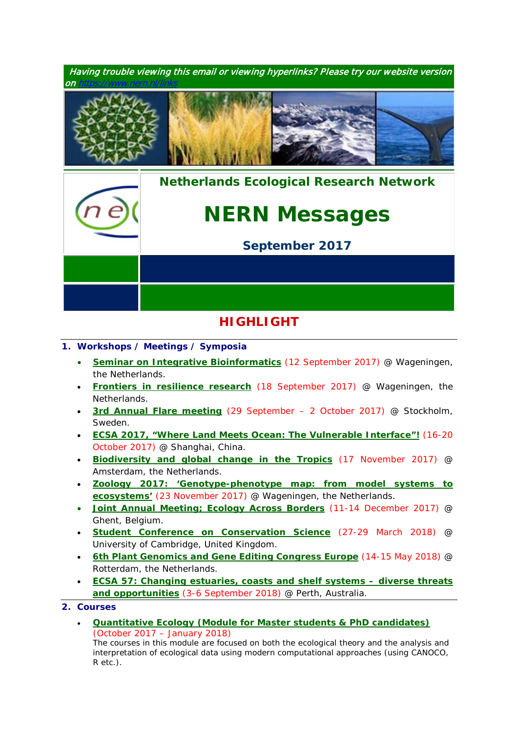

# **HIGHLIGHT**

# **1. Workshops / Meetings / Symposia**

- **[Seminar on Integrative Bioinformatics](https://www.pe-rc.nl/sites/default/files/Seminar%20on%20Integrative%20Bioinformatics%20%40%20Bioscience.pdf)** (12 September 2017) @ Wageningen, the Netherlands.
- **[Frontiers in resilience research](https://www.pe-rc.nl/resilience)** (18 September 2017) @ Wageningen, the Netherlands.
- **[3rd Annual Flare meeting](http://www.forestlivelihoods.org/flare-meeting-2017/)** (29 September 2 October 2017) @ Stockholm, Sweden.
- **[ECSA 2017, "Where Land Meets Ocean: The Vulnerable Interface"!](http://ecsa.ecnu.edu.cn/)** (16-20 October 2017) @ Shanghai, China.
- **[Biodiversity and global change in the Tropics](https://www.pe-rc.nl/treub-symposium)** (17 November 2017) @ Amsterdam, the Netherlands.
- **[Zoology 2017: 'Genotype-phenotype map: from model systems to](https://www.wur.nl/en/activity/Zoology-2017-Genotype-phenotype-map-from-model-systems-to-ecosystems-1.htm)  [ecosystems'](https://www.wur.nl/en/activity/Zoology-2017-Genotype-phenotype-map-from-model-systems-to-ecosystems-1.htm)** (23 November 2017) @ Wageningen, the Netherlands.
- **[Joint Annual Meeting; Ecology Across Borders](http://www.britishecologicalsociety.org/events/annual-meeting-2017/)** (11-14 December 2017) @ Ghent, Belgium.
- **[Student Conference on Conservation Science](http://www.sccs-cam.org/)** (27-29 March 2018) @ University of Cambridge, United Kingdom.
- **[6th Plant Genomics and Gene Editing Congress](http://www.global-engage.com/event/plant-genomics/) Europe** (14-15 May 2018) @ Rotterdam, the Netherlands.
- **[ECSA 57: Changing estuaries, coasts and shelf systems –](http://www.estuarinecoastalconference.com/) diverse threats [and opportunities](http://www.estuarinecoastalconference.com/)** (3-6 September 2018) @ Perth, Australia.

## **2. Courses**

• **[Quantitative Ecology \(Module for Master students & PhD candidates\)](https://www.nern.nl/sites/default/files/flyer2017.pdf)** (October 2017 – January 2018)

*The courses in this module are focused on both the ecological theory and the analysis and interpretation of ecological data using modern computational approaches (using CANOCO, R etc.).*